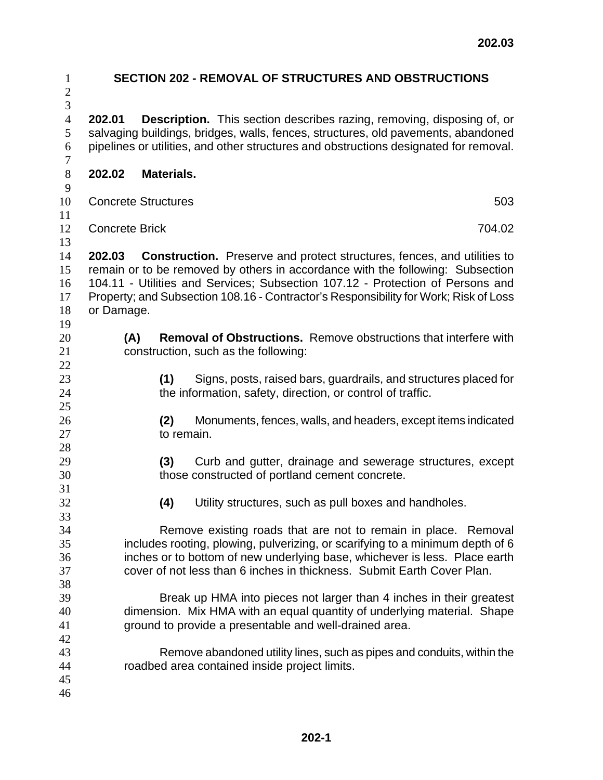| $\mathbf{1}$<br>$\mathbf{2}$                         | <b>SECTION 202 - REMOVAL OF STRUCTURES AND OBSTRUCTIONS</b>                                                                                                                                                                                                                                             |  |  |  |
|------------------------------------------------------|---------------------------------------------------------------------------------------------------------------------------------------------------------------------------------------------------------------------------------------------------------------------------------------------------------|--|--|--|
| $\mathfrak{Z}$<br>$\overline{4}$<br>5<br>6<br>$\tau$ | <b>Description.</b> This section describes razing, removing, disposing of, or<br>202.01<br>salvaging buildings, bridges, walls, fences, structures, old pavements, abandoned<br>pipelines or utilities, and other structures and obstructions designated for removal.                                   |  |  |  |
| $8\,$                                                | 202.02                                                                                                                                                                                                                                                                                                  |  |  |  |
| $\boldsymbol{9}$                                     | Materials.                                                                                                                                                                                                                                                                                              |  |  |  |
| 10                                                   | 503                                                                                                                                                                                                                                                                                                     |  |  |  |
| 11                                                   | <b>Concrete Structures</b>                                                                                                                                                                                                                                                                              |  |  |  |
| 12                                                   | <b>Concrete Brick</b>                                                                                                                                                                                                                                                                                   |  |  |  |
| 13                                                   | 704.02                                                                                                                                                                                                                                                                                                  |  |  |  |
| 14                                                   | <b>Construction.</b> Preserve and protect structures, fences, and utilities to                                                                                                                                                                                                                          |  |  |  |
| 15                                                   | 202.03                                                                                                                                                                                                                                                                                                  |  |  |  |
| 16                                                   | remain or to be removed by others in accordance with the following: Subsection                                                                                                                                                                                                                          |  |  |  |
| 17                                                   | 104.11 - Utilities and Services; Subsection 107.12 - Protection of Persons and                                                                                                                                                                                                                          |  |  |  |
| 18                                                   | Property; and Subsection 108.16 - Contractor's Responsibility for Work; Risk of Loss                                                                                                                                                                                                                    |  |  |  |
| 19                                                   | or Damage.                                                                                                                                                                                                                                                                                              |  |  |  |
| 20                                                   | <b>Removal of Obstructions.</b> Remove obstructions that interfere with                                                                                                                                                                                                                                 |  |  |  |
| 21                                                   | (A)                                                                                                                                                                                                                                                                                                     |  |  |  |
| 22                                                   | construction, such as the following:                                                                                                                                                                                                                                                                    |  |  |  |
| 23                                                   | Signs, posts, raised bars, guardrails, and structures placed for                                                                                                                                                                                                                                        |  |  |  |
| 24                                                   | (1)                                                                                                                                                                                                                                                                                                     |  |  |  |
| 25                                                   | the information, safety, direction, or control of traffic.                                                                                                                                                                                                                                              |  |  |  |
| 26                                                   | Monuments, fences, walls, and headers, except items indicated                                                                                                                                                                                                                                           |  |  |  |
| 27                                                   | (2)                                                                                                                                                                                                                                                                                                     |  |  |  |
| 28                                                   | to remain.                                                                                                                                                                                                                                                                                              |  |  |  |
| 29                                                   | (3)                                                                                                                                                                                                                                                                                                     |  |  |  |
| 30                                                   | Curb and gutter, drainage and sewerage structures, except                                                                                                                                                                                                                                               |  |  |  |
| 31                                                   | those constructed of portland cement concrete.                                                                                                                                                                                                                                                          |  |  |  |
| 32                                                   | (4)                                                                                                                                                                                                                                                                                                     |  |  |  |
| 33                                                   | Utility structures, such as pull boxes and handholes.                                                                                                                                                                                                                                                   |  |  |  |
| 34<br>35<br>36<br>37<br>38                           | Remove existing roads that are not to remain in place. Removal<br>includes rooting, plowing, pulverizing, or scarifying to a minimum depth of 6<br>inches or to bottom of new underlying base, whichever is less. Place earth<br>cover of not less than 6 inches in thickness. Submit Earth Cover Plan. |  |  |  |
| 39<br>40<br>41<br>42                                 | Break up HMA into pieces not larger than 4 inches in their greatest<br>dimension. Mix HMA with an equal quantity of underlying material. Shape<br>ground to provide a presentable and well-drained area.                                                                                                |  |  |  |
| 43<br>44<br>45<br>46                                 | Remove abandoned utility lines, such as pipes and conduits, within the<br>roadbed area contained inside project limits.                                                                                                                                                                                 |  |  |  |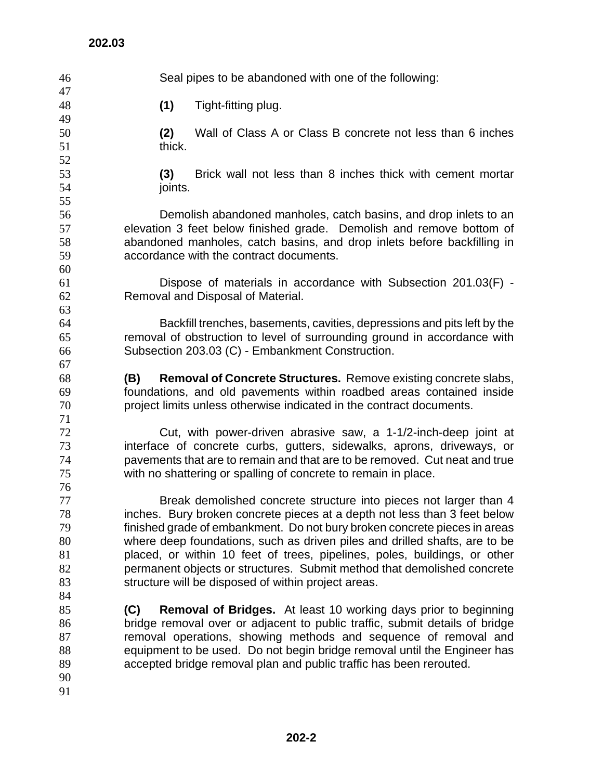Seal pipes to be abandoned with one of the following: **(1)** Tight-fitting plug. **(2)** Wall of Class A or Class B concrete not less than 6 inches 51 thick. **(3)** Brick wall not less than 8 inches thick with cement mortar joints. Demolish abandoned manholes, catch basins, and drop inlets to an elevation 3 feet below finished grade. Demolish and remove bottom of abandoned manholes, catch basins, and drop inlets before backfilling in accordance with the contract documents. Dispose of materials in accordance with Subsection 201.03(F) - Removal and Disposal of Material. Backfill trenches, basements, cavities, depressions and pits left by the removal of obstruction to level of surrounding ground in accordance with Subsection 203.03 (C) - Embankment Construction. **(B) Removal of Concrete Structures.** Remove existing concrete slabs, foundations, and old pavements within roadbed areas contained inside project limits unless otherwise indicated in the contract documents. Cut, with power-driven abrasive saw, a 1-1/2-inch-deep joint at interface of concrete curbs, gutters, sidewalks, aprons, driveways, or pavements that are to remain and that are to be removed. Cut neat and true with no shattering or spalling of concrete to remain in place. Break demolished concrete structure into pieces not larger than 4 inches. Bury broken concrete pieces at a depth not less than 3 feet below finished grade of embankment. Do not bury broken concrete pieces in areas where deep foundations, such as driven piles and drilled shafts, are to be placed, or within 10 feet of trees, pipelines, poles, buildings, or other permanent objects or structures. Submit method that demolished concrete 83 structure will be disposed of within project areas. **(C) Removal of Bridges.** At least 10 working days prior to beginning bridge removal over or adjacent to public traffic, submit details of bridge removal operations, showing methods and sequence of removal and equipment to be used. Do not begin bridge removal until the Engineer has accepted bridge removal plan and public traffic has been rerouted.